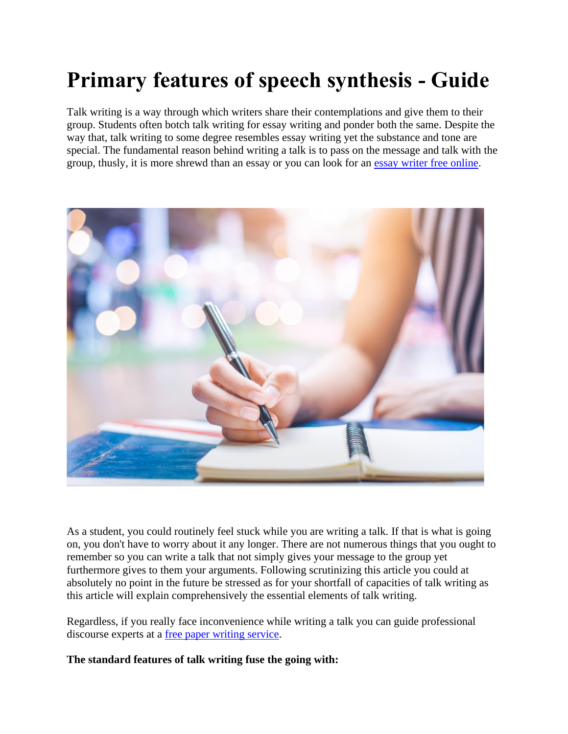# **Primary features of speech synthesis - Guide**

Talk writing is a way through which writers share their contemplations and give them to their group. Students often botch talk writing for essay writing and ponder both the same. Despite the way that, talk writing to some degree resembles essay writing yet the substance and tone are special. The fundamental reason behind writing a talk is to pass on the message and talk with the group, thusly, it is more shrewd than an essay or you can look for an [essay writer free](https://www.freeessaywriter.net/) online.



As a student, you could routinely feel stuck while you are writing a talk. If that is what is going on, you don't have to worry about it any longer. There are not numerous things that you ought to remember so you can write a talk that not simply gives your message to the group yet furthermore gives to them your arguments. Following scrutinizing this article you could at absolutely no point in the future be stressed as for your shortfall of capacities of talk writing as this article will explain comprehensively the essential elements of talk writing.

Regardless, if you really face inconvenience while writing a talk you can guide professional discourse experts at a [free paper writing service.](https://www.collegeessay.org/)

**The standard features of talk writing fuse the going with:**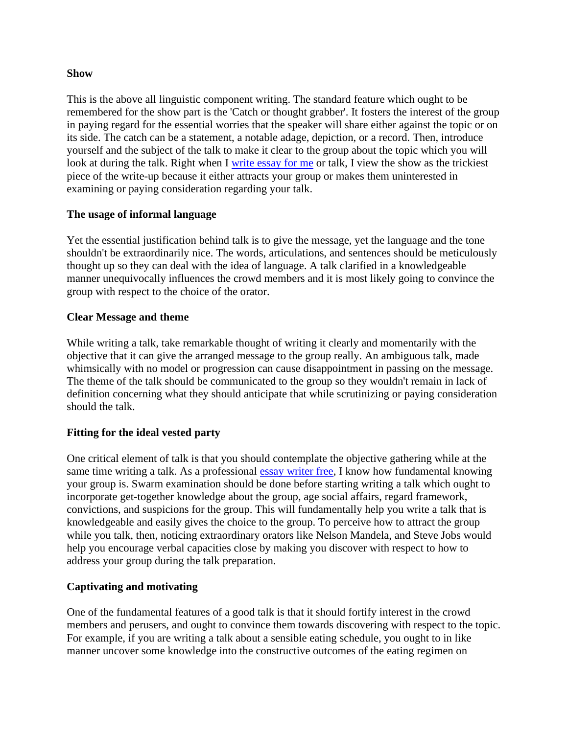#### **Show**

This is the above all linguistic component writing. The standard feature which ought to be remembered for the show part is the 'Catch or thought grabber'. It fosters the interest of the group in paying regard for the essential worries that the speaker will share either against the topic or on its side. The catch can be a statement, a notable adage, depiction, or a record. Then, introduce yourself and the subject of the talk to make it clear to the group about the topic which you will look at during the talk. Right when I [write essay for me](https://www.5staressays.com/) or talk, I view the show as the trickiest piece of the write-up because it either attracts your group or makes them uninterested in examining or paying consideration regarding your talk.

#### **The usage of informal language**

Yet the essential justification behind talk is to give the message, yet the language and the tone shouldn't be extraordinarily nice. The words, articulations, and sentences should be meticulously thought up so they can deal with the idea of language. A talk clarified in a knowledgeable manner unequivocally influences the crowd members and it is most likely going to convince the group with respect to the choice of the orator.

#### **Clear Message and theme**

While writing a talk, take remarkable thought of writing it clearly and momentarily with the objective that it can give the arranged message to the group really. An ambiguous talk, made whimsically with no model or progression can cause disappointment in passing on the message. The theme of the talk should be communicated to the group so they wouldn't remain in lack of definition concerning what they should anticipate that while scrutinizing or paying consideration should the talk.

#### **Fitting for the ideal vested party**

One critical element of talk is that you should contemplate the objective gathering while at the same time writing a talk. As a professional [essay writer free,](https://www.collegeessay.org/) I know how fundamental knowing your group is. Swarm examination should be done before starting writing a talk which ought to incorporate get-together knowledge about the group, age social affairs, regard framework, convictions, and suspicions for the group. This will fundamentally help you write a talk that is knowledgeable and easily gives the choice to the group. To perceive how to attract the group while you talk, then, noticing extraordinary orators like Nelson Mandela, and Steve Jobs would help you encourage verbal capacities close by making you discover with respect to how to address your group during the talk preparation.

#### **Captivating and motivating**

One of the fundamental features of a good talk is that it should fortify interest in the crowd members and perusers, and ought to convince them towards discovering with respect to the topic. For example, if you are writing a talk about a sensible eating schedule, you ought to in like manner uncover some knowledge into the constructive outcomes of the eating regimen on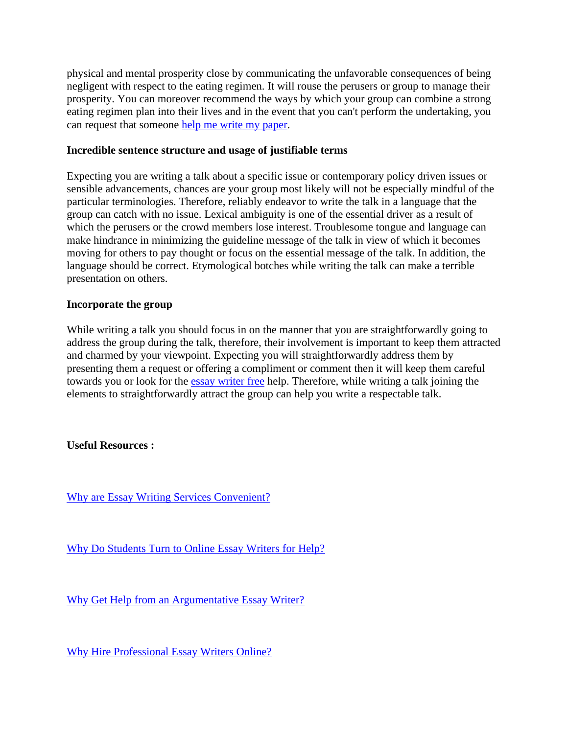physical and mental prosperity close by communicating the unfavorable consequences of being negligent with respect to the eating regimen. It will rouse the perusers or group to manage their prosperity. You can moreover recommend the ways by which your group can combine a strong eating regimen plan into their lives and in the event that you can't perform the undertaking, you can request that someone [help me write my paper.](https://www.sharkpapers.com/)

#### **Incredible sentence structure and usage of justifiable terms**

Expecting you are writing a talk about a specific issue or contemporary policy driven issues or sensible advancements, chances are your group most likely will not be especially mindful of the particular terminologies. Therefore, reliably endeavor to write the talk in a language that the group can catch with no issue. Lexical ambiguity is one of the essential driver as a result of which the perusers or the crowd members lose interest. Troublesome tongue and language can make hindrance in minimizing the guideline message of the talk in view of which it becomes moving for others to pay thought or focus on the essential message of the talk. In addition, the language should be correct. Etymological botches while writing the talk can make a terrible presentation on others.

### **Incorporate the group**

While writing a talk you should focus in on the manner that you are straightforwardly going to address the group during the talk, therefore, their involvement is important to keep them attracted and charmed by your viewpoint. Expecting you will straightforwardly address them by presenting them a request or offering a compliment or comment then it will keep them careful towards you or look for the [essay writer free](https://www.essaywriter.college/) help. Therefore, while writing a talk joining the elements to straightforwardly attract the group can help you write a respectable talk.

## **Useful Resources :**

[Why are Essay Writing Services Convenient?](https://essaywriternow.com/essay-writing-service/why-are-essay-writing-services-convenient)

[Why Do Students Turn to Online Essay Writers for Help?](https://theessaywritingservice.com/essay-writer/why-do-students-turn-to-online-essay-writers-for-help)

[Why Get Help from an Argumentative Essay Writer?](https://youressaywriter.net/essay-writer/why-get-help-from-an-argumentative-essay-writer)

[Why Hire Professional Essay Writers Online?](https://writemyessayfast.net/essay-writer/why-hire-professional-essay-writers-online)